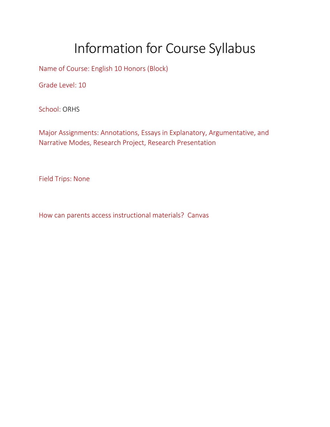## Information for Course Syllabus

Name of Course: English 10 Honors (Block)

Grade Level: 10

School: ORHS

Major Assignments: Annotations, Essays in Explanatory, Argumentative, and Narrative Modes, Research Project, Research Presentation

Field Trips: None

How can parents access instructional materials? Canvas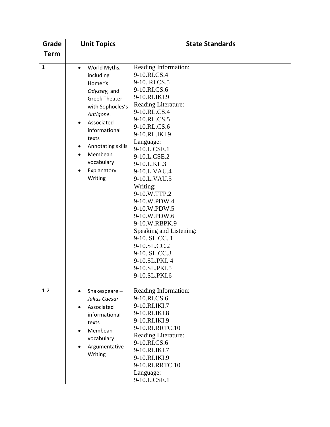| Grade        | <b>Unit Topics</b>                                                                                                                                                                                                                         | <b>State Standards</b>                                                                                                                                                                                                                                                                                                                                                                                                                                                                                    |
|--------------|--------------------------------------------------------------------------------------------------------------------------------------------------------------------------------------------------------------------------------------------|-----------------------------------------------------------------------------------------------------------------------------------------------------------------------------------------------------------------------------------------------------------------------------------------------------------------------------------------------------------------------------------------------------------------------------------------------------------------------------------------------------------|
| <b>Term</b>  |                                                                                                                                                                                                                                            |                                                                                                                                                                                                                                                                                                                                                                                                                                                                                                           |
| $\mathbf{1}$ | World Myths,<br>$\bullet$<br>including<br>Homer's<br>Odyssey, and<br><b>Greek Theater</b><br>with Sophocles's<br>Antigone.<br>Associated<br>informational<br>texts<br>Annotating skills<br>Membean<br>vocabulary<br>Explanatory<br>Writing | Reading Information:<br>9-10.RI.CS.4<br>9-10. RI.CS.5<br>9-10.RI.CS.6<br>9-10.RI.IKI.9<br>Reading Literature:<br>9-10.RL.CS.4<br>9-10.RL.CS.5<br>9-10.RL.CS.6<br>9-10.RL.IKI.9<br>Language:<br>9-10.L.CSE.1<br>9-10.L.CSE.2<br>9-10.L.KL.3<br>9-10.L.VAU.4<br>9-10.L.VAU.5<br>Writing:<br>9-10.W.TTP.2<br>9-10.W.PDW.4<br>9-10.W.PDW.5<br>9-10.W.PDW.6<br>9-10.W.RBPK.9<br>Speaking and Listening:<br>9-10. SL.CC. 1<br>9-10.SL.CC.2<br>9-10. SL.CC.3<br>9-10.SL.PKI. 4<br>9-10.SL.PKI.5<br>9-10.SL.PKI.6 |
| $1 - 2$      | Shakespeare-<br>Julius Caesar<br>Associated<br>informational<br>texts<br>Membean<br>vocabulary<br>Argumentative<br>Writing                                                                                                                 | Reading Information:<br>9-10.RI.CS.6<br>9-10.RI.IKI.7<br>9-10.RI.IKI.8<br>9-10.RI.IKI.9<br>9-10.RI.RRTC.10<br>Reading Literature:<br>9-10.RI.CS.6<br>9-10.RI.IKI.7<br>9-10.RI.IKI.9<br>9-10.RI.RRTC.10<br>Language:<br>9-10.L.CSE.1                                                                                                                                                                                                                                                                       |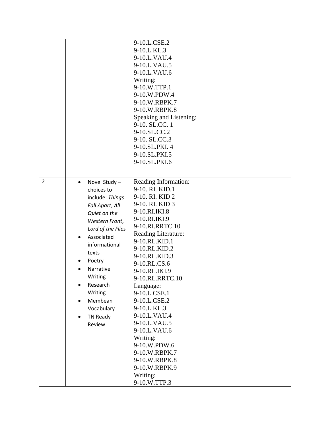|                |                            | 9-10.L.CSE.2            |
|----------------|----------------------------|-------------------------|
|                |                            | 9-10.L.KL.3             |
|                |                            | 9-10.L.VAU.4            |
|                |                            | 9-10.L.VAU.5            |
|                |                            | 9-10.L.VAU.6            |
|                |                            | Writing:                |
|                |                            | 9-10.W.TTP.1            |
|                |                            | 9-10.W.PDW.4            |
|                |                            | 9-10.W.RBPK.7           |
|                |                            | 9-10.W.RBPK.8           |
|                |                            | Speaking and Listening: |
|                |                            | 9-10. SL.CC. 1          |
|                |                            | 9-10.SL.CC.2            |
|                |                            | 9-10. SL.CC.3           |
|                |                            | 9-10.SL.PKI. 4          |
|                |                            | 9-10.SL.PKI.5           |
|                |                            | 9-10.SL.PKI.6           |
|                |                            |                         |
|                |                            |                         |
| $\overline{2}$ | Novel Study -<br>$\bullet$ | Reading Information:    |
|                | choices to                 | 9-10. RI. KID.1         |
|                | include: Things            | 9-10. RI. KID 2         |
|                | Fall Apart, All            | 9-10. RI. KID 3         |
|                | Quiet on the               | 9-10.RI.IKI.8           |
|                | Western Front,             | 9-10.RI.IKI.9           |
|                | Lord of the Flies          | 9-10.RI.RRTC.10         |
|                | Associated                 | Reading Literature:     |
|                | informational              | 9-10.RL.KID.1           |
|                |                            | 9-10.RL.KID.2           |
|                | texts                      | 9-10.RL.KID.3           |
|                | Poetry                     | 9-10.RL.CS.6            |
|                | Narrative                  | 9-10.RL.IKI.9           |
|                | Writing                    | 9-10.RL.RRTC.10         |
|                | Research                   | Language:               |
|                | Writing                    | 9-10.L.CSE.1            |
|                | Membean                    | 9-10.L.CSE.2            |
|                | Vocabulary                 | 9-10.L.KL.3             |
|                | <b>TN Ready</b>            | 9-10.L.VAU.4            |
|                | Review                     | 9-10.L.VAU.5            |
|                |                            | 9-10.L.VAU.6            |
|                |                            | Writing:                |
|                |                            | 9-10.W.PDW.6            |
|                |                            | 9-10.W.RBPK.7           |
|                |                            | 9-10.W.RBPK.8           |
|                |                            | 9-10.W.RBPK.9           |
|                |                            | Writing:                |
|                |                            | 9-10.W.TTP.3            |
|                |                            |                         |